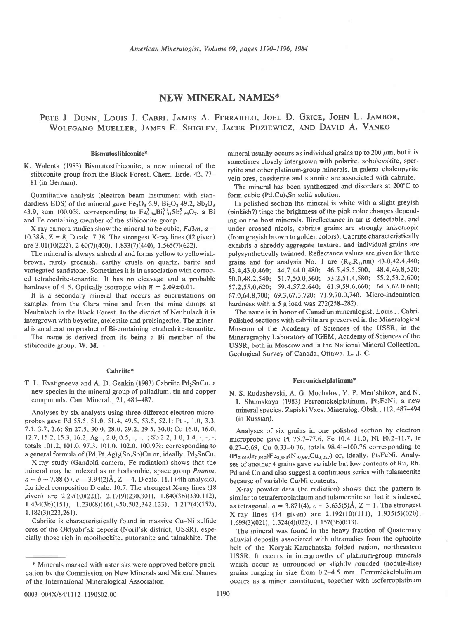# NEW MINERAL NAMES\*

# PETE J. DUNN, LOUIS J. CABRI, JAMES A. FERRAIOLO, JOEL D. GRICE, JOHN L. JAMBOR, WOLFGANG MUELLER, JAMES E. SHIGLEY, JACEK PUZIEWICZ, AND DAVID A. VANKO

## Bismutostibiconite\*

K. Walenta (1983) Bismutostibiconite, a new mineral of the stibiconite group from the Black Forest. Chem. Erde, 42, 77-81 (in German).

Quantitative analysis (electron beam instrument with standardless EDS) of the mineral gave  $Fe<sub>2</sub>O<sub>3</sub> 6.9$ ,  $Bi<sub>2</sub>O<sub>3</sub> 49.2$ ,  $Sb<sub>2</sub>O<sub>3</sub>$ 43.9, sum 100.0%, corresponding to  $Fe_0^{3+}$  $B_1^{3+}$  $Sb_{1.69}^{5+}O_7$ , a Bi and Fe containing member of the stibiconite group.

X-ray camera studies show the mineral to be cubic,  $Fd3m$ ,  $a=$ 10.38Å,  $Z = 8$ , D calc. 7.38. The strongest X-ray lines (12 given) are 3.01(10(222), 2.60(7)(400), 1.833(7)(440), 1.565(7)(622).

The mineral is always anhedral and forms yellow to yellowishbrown, rarely greenish, earthy crusts on quartz, barite and variegated sandstone. Sometimes it is in association with corroded tetrahedrite-tenantite. It has no cleavage and a probable hardness of 4-5. Optically isotropic with  $\bar{n} = 2.09 \pm 0.01$ .

It is a secondary mineral that occurs as encrustations on samples from the Clara mine and from the mine dumps at Neubulach in the Black Forest. In the district of Neubulach it is intergrown with beyerite, atelestite and preisingerite. The mineral is an alteration product of Bi-containing tetrahedrite-tenantite.

The name is derived from its being a Bi member of the stibiconite group. W. M.

#### Cabriite\*

T. L. Evstigneeva and A. D. Genkin (1983) Cabriite Pd<sub>2</sub>SnCu, a new species in the mineral group of palladium, tin and copper compounds. Can. Mineral., 21, 481-487.

Analyses by six analysts using three different electron microprobes gave Pd 55.5, 51.0, 51.4, 49.5,53.5,52.1; Pt -, 1.0, 3.3, 7.1, 3.7, 2.6; 5n 27.5, 30.0, 28.0, 29.2, 29.5, 30.0; Cu 16.0, 16.0, 12.7, 15.2, 15.3, 16.2, Ag -, 2.0, 0.5, -, -, -; Sb 2.2, 1.0, 1.4, -, -, -; totals 101.2, 101.0, 97.3, 101.0, 102.0, 100.9%; corresponding to a general formula of  $(Pd, Pt, Ag)<sub>2</sub>(Sn, Sb)Cu$  or, ideally,  $Pd<sub>2</sub>SnCu$ .

X-ray study (Gandolfi camera, Fe radiation) shows that the mineral may be indexed as orthorhombic, space group Pmmm,  $a \sim b \sim 7.88$  (5),  $c = 3.94(2)$ Å, Z = 4, D calc. 11.1 (4th analysis), for ideal composition D calc. 10.7. The strongest X-ray lines (18 given) are  $2.29(10)(221)$ ,  $2.17(9)(230,301)$ ,  $1.840(3b)(330,112)$ ,  $1.434(3b)(151), 1.230(8)(161,450,502,342,123), 1.217(4)(152),$ 1.182(3)(223,261).

Cabriite is characteristically found in massive Cu-Ni sulfide ores of the Oktyabr'sk deposit (Noril'sk district, USSR), especially those rich in mooihoekite, putoranite and talnakhite. The mineral usually occurs as individual grains up to 200  $\mu$ m, but it is sometimes closely intergrown with polarite, sobolevskite, sperrylite and other platinum-group minerals. In galena-chalcopyrite vein ores, cassiterite and stannite are associated with cabriite.

The mineral has been synthesized and disorders at 200"C to form cubic  $(Pd, Cu)$ <sub>3</sub>Sn solid solution.

In polished section the mineral is white with a slight greyish (pinkish?) tinge the brightness of the pink color changes depending on the host minerals. Bireflectance in air is detectable, and under crossed nicols, cabriite grains are strongly anisotropic (from greyish brown to golden colors). Cabriite characteristically exhibits a shreddy-aggregate texture, and individual grains are polysynthetically twinned. Reflectance values are given for three grains and for analysis No. 1 are  $(R_2, R_1, nm)$  43.0,42.4,440; 43.4,43.0,460; 44.7,44.0,480; 46.5,45.5,500; 48.4,46.8,520; 50.0,48.2,540; 51.7,50.0,560; 53.2,51.4,580; 55.2,53.2,600; 57 .2,55.0,620; 59.4,57.2,640; 61.9,59.6,660; 64.5,62.0,680; 67.0.64.8.700; 69.3.67.3.720; 71.9.70.0.740. Micro-indentation hardness with a 5 g load was  $272(258-282)$ .

The name is in honor of Canadian mineralogist, Louis J. Cabri. Polished sections with cabriite are preserved in the Mineralogical Museum of the Academy of Sciences of the USSR, in the Mineragraphy Laboratory of IGEM, Academy of Sciences of the USSR, both in Moscow and in the National Mineral Collection' Geological Survey of Canada, Ottawa. L. J. C.

## Ferronickelplatinum\*

N. S. Rudashevski, A. G. Mochalov, Y. P. Men'shikov, and N. I. Shumskaya (1983) Ferronickelplatinum, Pt<sub>2</sub>FeNi, a new mineral species. Zapiski Vses. Mineralog. Obsh., I 12, 487-494 (in Russian).

Analyses of six grains in one polished section by electron microprobe gave Pt 75.7-77.6, Fe 10.4-11.0, Ni 10.2-11.7, Ir 0.27-0.69, Cu 0.33-0.36, totals 98.41-100.76 corresponding to  $(Pt_{2.016}Ir_{0.012})Fe_{0.983}(Ni_{0.962}Cu_{0.027})$  or, ideally, Pt<sub>2</sub>FeNi. Analyses of another 4 grains gave variable but low contents of Ru, Rh, Pd and Co and also suggest a continuous series with tulameenite because of variable Cu/Ni contents.

X-ray powder data (Fe radiation) shows that the pattern is similar to tetraferroplatinum and tulameenite so that it is indexed as tetragonal,  $a = 3.871(4)$ ,  $c = 3.635(5)$ Å, Z = 1. The strongest X-ray lines (14 given) are  $2.192(10)(111)$ ,  $1.935(5)(020)$ ,  $1.699(3)(021)$ ,  $1.324(4)(022)$ ,  $1.157(3b)(013)$ .

The mineral was found in the heavy fraction of Quaternary alluvial deposits associated with ultramafics from the ophiolite belt of the Koryak-Kamchatska folded region, northeastern USSR. It occurs in intergrowths of platinum-group minerals which occur as unrounded or slightly rounded (nodule-like) grains ranging in size from 0.2-4.5 mm. Ferronickelplatinum occurs as a minor constituent, together with isoferroplatinum

<sup>\*</sup> Minerals marked with asterisks were approved before publication by the Commission on New Minerals and Mineral Names of the International Mineralogical Association.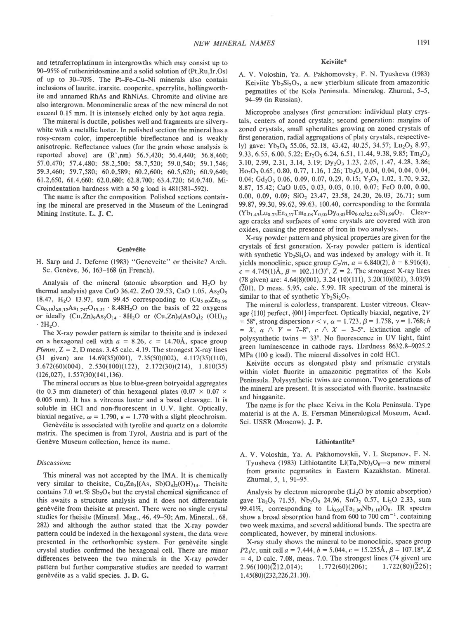and tetraferroplatinum in intergrowths which may consist up to 90-95% of rutheniridosmine and a solid solution of (Pt,Ru,Ir,Os) of up to 30-70%. The Pt-Fe-Cu-Ni minerals also contain inclusions of laurite, irarsite, cooperite, sperrylite, hollingworthite and unnamed RhAs and RhNiAs. Chromite and olivine are also intergrown. Monomineralic areas of the new mineral do not exceed 0.15 mm. It is intensely etched only by hot aqua regia.

The mineral is ductile, polishes well and fragments are silverywhite with a metallic luster. In polished section the mineral has a rosy-cream color, imperceptible bireflectance and is weakly anisotropic. Reflectance values (for the grain whose analysis is reported above) are (R',nm) 56.5,420; 56.4,440; 56.8,460; 57.0,470; 57.4,480; 58.2,500; 58.7,520; 59.0,540; 59.1,546; 59.3,460; 59.7,580; 60.0,589; 60.2,600; 60.5,620; 60.9,640; 61.2,650, 61.4,660; 62.0,680; 62.8,700; 63.4,720; 64.0,740. Microindentation hardness with a 50 g load is 481(381-592).

The name is after the composition. Polished sections containing the mineral are preserved in the Museum of the Leningrad Mining Institute. L. J. C.

## **Genèvéite**

H. Sarp and J. Deferne (1983) "Geneveite" or theisite? Arch. Sc. Genève, 36, 163-168 (in French).

Analysis of the mineral (atomic absorption and  $H<sub>2</sub>O$  by thermal analysis) gave CuO 36.42, ZnO 29.53, CaO  $1.05$ , As<sub>2</sub>O<sub>5</sub> 18.47, H<sub>2</sub>O 13.97, sum 99.45 corresponding to  $(Cu_{5.00}Zn_{3.96}$  $Ca_{0.19}g_{29,15}As_{1,747}O_{13,51}$  . 8.48H<sub>2</sub>O on the basis of 22 oxygens or ideally  $(Cu, Zn)_9As_2O_{14} \tcdot 8H_2O$  or  $(Cu, Zn)_9(AsO_4)_2$   $(OH)_{12}$  $\cdot$  2H<sub>2</sub>O.

The X-ray powder pattern is similar to theisite and is indexed on a hexagonal cell with  $a = 8.26$ ,  $c = 14.70\text{\AA}$ , space group  $P6mm$ ,  $Z = 2$ , D meas. 3.45 calc. 4.19. The strongest X-ray lines (31 given) are  $14.69(35)(001)$ ,  $7.35(50)(002)$ ,  $4.117(35)(110)$ ,  $3.672(60)(004)$ ,  $2.530(100)(122)$ ,  $2.172(30)(214)$ ,  $1.810(35)$  $(126,027), 1.557(30)(141,136).$ 

The mineral occurs as blue to blue-green botryoidal aggregates (to 0.3 mm diameter) of thin hexagonal plates (0.07  $\times$  0.07  $\times$ 0.005 mm). It has a vitreous luster and a basal cleavage. It is soluble in HCI and non-fluorescent in U.V. light. Optically, biaxial negative,  $\omega = 1.790$ ,  $\epsilon = 1.770$  with a slight pleochroism.

Genèvéite is associated with tyrolite and quartz on a dolomite matrix. The specimen is from Tyrol, Austria and is part of the Genève Museum collection, hence its name.

## Discussion:

This mineral was not accepted by the IMA. It is chemically very similar to theisite,  $Cu<sub>5</sub>Zn<sub>5</sub>[(As, Sb)O<sub>4</sub>]<sub>2</sub>(OH)<sub>14</sub>. Theisite$ contains 7.0 wt.%  $Sb_2O_5$  but the crystal chemical significance of this awaits a structure analysis and it does not differentiate genèvéite from theisite at present. There were no single crystal studies for theisite (Mineral. Mag., 46, 49–50; Am. Mineral., 68, 282) and although the author stated that the X-ray powder pattern could be indexed in the hexagonal system, the data were presented in the orthorhombic system. For genèvéite single crystal studies confirmed the hexagonal cell. There are minor differences between the two minerals in the X-ray powder pattem but further comparative studies are needed to warrant genèvéite as a valid species. J. D. G.

#### Keiviite\*

A. V. Voloshin, Ya. A. Pakhomovsky, F. N. Tyusheva (1983) Keiviite  $Yb_2Si_2O_7$ , a new ytterbium silicate from amazonitic pegmatites of the Kola Peninsula. Mineralog. Zhurnal, 5-5, 94-99 (in Russian).

Microprobe analyses (first generation: individual platy crystals, centers of zoned crystals; second generation: margins of zoned crystals, small spherulites growing on zoned crystals of first generation, radial aggregations of platy crystals, respectively) gave: Yb<sub>2</sub>O<sub>3</sub> 55.06, 52.18, 43.42, 40.25, 34.57; Lu<sub>2</sub>O<sub>3</sub> 8.97, 9.33, 6.55, 6.00, 5.22; Er<sub>2</sub>O<sub>3</sub> 6.24, 6.51, 11.44, 9.38, 9.85; Tm<sub>2</sub>O<sub>3</sub> 3.10, 2.99, 2.31, 3.14, 3. 19; DyzO: 1.23, 2.05, 1.47, 4.28, 3.86;  $Ho<sub>2</sub>O<sub>3</sub>$  0.65, 0.80, 0.77, 1.16, 1.26; Tb<sub>2</sub>O<sub>3</sub> 0.04, 0.04, 0.04, 0.04, 0.04; Gd<sub>2</sub>O<sub>3</sub> 0.06, 0.09, 0.07, 0.29, 0.15; Y<sub>2</sub>O<sub>3</sub> 1.02, 1.70, 9.32, 8.87, 15.42: CaO 0.03, 0.03, 0.03, 0.10, 0.07; FeO 0.00, 0.00, 0.00, 0.09, 0.09; SiO<sub>2</sub> 23.47, 23.58, 24.20, 26.03, 26.71; sum 99.87, 99.30, 99.62, 99.63, 100.40, corresponding to the formula  $(Yb_{1.43}Lu_{0.23}Er_{0.17}Tm_{0.08}Y_{0.05}Dy_{0.03}Ho_{0.02}z_{2.01}Si_{1.99}O_7.$  Cleavage cracks and surfaces of some crystals are covered with iron oxides, causing the presence of iron in two analyses.

X-ray powder pattern and physical properties are given for the crystals of first generation. X-ray powder pattern is identical with synthetic  $Yb_2Si_2O_7$  and was indexed by analogy with it. It yields monoclinic, space group  $C_2/m$ ,  $a = 6.840(2)$ ,  $b = 8.916(4)$ ,  $c = 4.745(1)$ Å,  $\beta = 102.11(3)$ °, Z = 2. The strongest X-ray lines (78 given) are:  $4.64(8)(001)$ ,  $3.24(10)(111)$ ,  $3.20(10)(021)$ ,  $3.03(9)$  $(201)$ , D meas. 5.95, calc. 5.99. IR spectrum of the mineral is similar to that of synthetic  $Yb_2Si_2O_7$ .

The mineral is colorless, transparent. Luster vitreous. Cleavage  $\{110\}$  perfect,  $\{001\}$  imperfect. Optically biaxial, negative, 2V = 58°, strong dispersion  $r < v$ ,  $\alpha = 1.723$ ,  $\beta = 1.758$ ,  $\gamma = 1.768$ ; b = X,  $a \wedge Y = 7-8^{\circ}$ ,  $c \wedge X = 3-5^{\circ}$ . Extinction angle of polysynthetic twins  $= 33^{\circ}$ . No fluorescence in UV light, faint green luminescence in cathode rays. Hardness 8632.8-9025.2 MPa (100 g load). The mineral dissolves in cold HCl.

Keiviite occurs as elongated platy and prismatic crystals within violet fluorite in amazonitic pegmatites of the Kola Peninsula. Polysynthetic twins are common. Two generations of the mineral are present. It is associated with fluorite, bastnaesite and hingganite.

The name is for the place Keiva in the Kola Peninsula. Type material is at the A. E. Fersman Mineralogical Museum, Acad. Sci. USSR (Moscow). J. P.

## Lithiotantite\*

A. V. Voloshin, Ya. A. Pakhomovskii, V. I. Stepanov, F. N. Tyusheva (1983) Lithiotantite Li(Ta,Nb)<sub>3</sub>O<sub>8</sub>-a new mineral from granite pegmatites in Eastern Kazakhstan. Mineral. Zhurnal, 5, 1, 91-95.

Analysis by electron microprobe (Li<sub>2</sub>O by atomic absorption) gave Ta<sub>2</sub>O<sub>5</sub> 71.55, Nb<sub>2</sub>O<sub>5</sub> 24.96, SnO<sub>2</sub> 0.57, Li<sub>2</sub>O 2.33, sum 99.41%, corresponding to  $Li_{0.92}(Ta_{1.90}Nb_{1.10})O_8$ . IR spectra show a broad absorption band from 600 to 700  $cm^{-1}$ , containing two week maxima, and several additional bands. The spectra are complicated, however, by mineral inclusions.

X-ray study shows the mineral to be monoclinic, space group  $P2<sub>1</sub>/c$ , unit cell  $a = 7.444$ ,  $b = 5.044$ ,  $c = 15.255A$ ,  $\beta = 107.18^{\circ}$ , Z  $= 4$ , D calc. 7.08, meas. 7.0. The strongest lines (74 given) are  $2.96(100)(\overline{212,014});$   $1.772(60)(206);$   $1.722(80)(226);$  $1.45(80)(232,226,21.10)$ .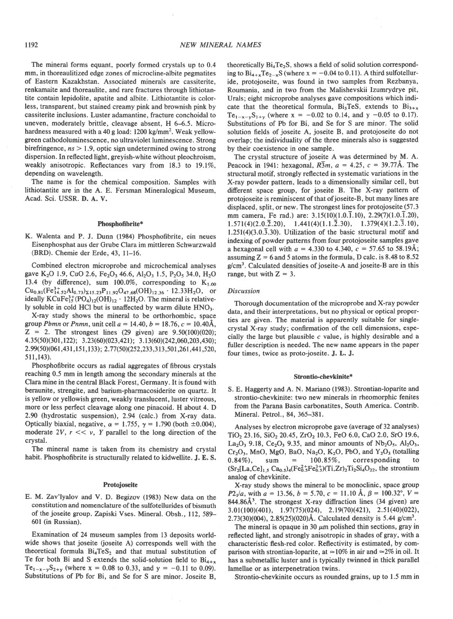The mineral forms equant, poorly formed crystals up to 0.4 mm, in thoreaulitized edge zones of microcline-albite pegmatites of Eastern Kazakhstan. Associated minerals are cassiterite. renkamaite and thoreaulite, and rare fractures through lithiotantite contain lepidolite, apatite and albite. Lithiotantite is colorless, transparent, but stained creamy pink and brownish pink by cassiterite inclusions. Luster adamantine, fracture conchoidal to uneven, moderately brittle, cleavage absent, H 6-6.5. Microhardness measured with a 40 g load: 1200 kg/mm<sup>2</sup>. Weak yellowgreen cathodoluminescence, no ultraviolet luminescence. Strong birefringence,  $ns > 1.9$ , optic sign undetermined owing to strong dispersion. In reflected light, greyish-white without pleochroism, weakly anisotropic. Reflectances vary from 18.3 to 19.1%, depending on wavelength.

The name is for the chemical composition. Samples with lithiotantite are in the A. E. Fersman Mineralogical Museum, Acad. Sci. USSR. D. A. V.

### Phosphofibrite\*

K. Walenta and P. J. Dunn (1984) Phosphofibrite, ein neues Eisenphosphat aus der Grube Clara im mittleren Schwarzwald (BRD). Chemie der Erde,43, ll-16.

Combined electron microprobe and microchemical analyses gave K<sub>2</sub>O 1.9, CuO 2.6, Fe<sub>2</sub>O<sub>3</sub> 46.6, Al<sub>2</sub>O<sub>3</sub> 1.5, P<sub>2</sub>O<sub>5</sub> 34.0, H<sub>2</sub>O 13.4 (by difference), sum 100.0%, corresponding to  $K_{1,00}$  $Cu_{0.81}(Fe_{14.52}^{3+}Al_{0.73})_{\Sigma15.23}P_{11.92}O_{47.68}(OH)_{12.36}$  . 12.33H<sub>2</sub>O, or ideally  $KCuFe<sup>3+</sup><sub>15</sub>(PO<sub>4</sub>)<sub>12</sub>(OH)<sub>12</sub> · 12H<sub>2</sub>O. The mineral is relative$ ly soluble in cold HCl but is unaffected by warm dilute  $HNO<sub>3</sub>$ .

X-ray study shows the mineral to be orthorhombic. space group Pbmn or Pnmn, unit cell  $a = 14.40$ ,  $b = 18.76$ ,  $c = 10.40$ Å,  $Z = 2$ . The strongest lines (29 given) are  $9.50(100)(020)$ ;  $4.35(50)(301,122)$ ;  $3.23(60)(023,421)$ ;  $3.13(60)(242,060,203,430)$ ; 2.99(50)(061,431,151,133); 2.77(50)(252,233,313,501,261,441,520, 511.143).

Phosphofibrite occurs as radial aggregates of fibrous crystals reaching 0.5 mm in length among the secondary minerals at the Clara mine in the central Black Forest, Germany. It is found with beraunite, strengite, and barium-pharmacosiderite on quartz. It is yellow or yellowish green, weakly translucent, luster vitreous, more or less perfect cleavage along one pinacoid. H about 4. D 2.90 (hydrostatic suspension), 2.94 (calc.) from X-ray data. Optically biaxial, negative,  $\alpha = 1.755$ ,  $\gamma = 1.790$  (both  $\pm 0.004$ ), moderate 2V,  $r \ll v$ , Y parallel to the long direction of the crystal.

The mineral name is taken from its chemistry and crystal habit. Phosphofibrite is structurally related to kidwellite. J. E. S.

### Protojoseite

E. M. Zav'lyalov and V. D. Begizov (1983) New data on the constitution and nomenclature of the sulfotellurides of bismuth of the joseite group. Zapiski Vses. Mineral. Obsh., 112, 589-601 (in Russian).

Examination of 24 museum samples from 13 deposits worldwide shows that joseite (joseite A) corresponds well with the theoretical formula  $Bi<sub>4</sub>TeS<sub>2</sub>$  and that mutual substitution of Te for both Bi and S extends the solid-solution field to  $Bi_{4+x}$ Te<sub>1-x-y</sub>S<sub>2+y</sub> (where x = 0.08 to 0.33, and y = -0.11 to 0.09). Substitutions of Pb for Bi, and Se for S are minor. Joseite B,

theoretically Bi<sub>4</sub>Te<sub>2</sub>S, shows a field of solid solution corresponding to  $Bi_{4+x}Te_{2-x}S$  (where  $x = -0.04$  to 0.11). A third sulfotelluride, protojoseite, was found in two samples from Rezbanya, Roumania, and in two from the Malishevskii Izumrydrye pit, Urals; eight microprobe analyses gave compositions which indicate that the theoretical formula,  $Bi<sub>3+x</sub>$ , extends to  $Bi<sub>3+x</sub>$ Te<sub>1-x-v</sub>S<sub>1+v</sub> (where x = -0.02 to 0.14, and y -0.05 to 0.17). Substitutions of Pb for Bi, and Se for S are minor. The solid solution fields of joseite A, joseite B, and protojoseite do not overlap; the individuality of the three minerals also is suggested by their coexistence in one sample.

The crystal structure of joseite A was determined by M. A. Peacock in 1941: hexagonal,  $R\bar{3}m$ ,  $a = 4.25$ ,  $c = 39.77\text{\AA}$ . The structural motif, strongly reflected in systematic variations in the X-ray powder pattern, leads to a dimensionally similar cell, but different space group, for joseite B. The X-ray pattern of protojoseite is reminiscent of that of joseite-B, but many lines are displaced, split, or new. The strongest lines for protojoseite (57.3 mm camera, Fe rad.) are:  $3.15(10)(1.0.\overline{1}.10)$ ,  $2.29(7)(1.0.\overline{1}.20)$ ,  $1.571(4)(2.0.\overline{2}.20), \quad 1.441(4)(1.1.\overline{2}.30), \quad 1.379(4)(1.2.\overline{3}.10),$  $1.251(4)(3.0.\overline{3}.30)$ . Utilization of the basic structural motif and indexing of powder patterns from four protojoseite samples gave a hexagonal cell with  $a = 4.330$  to 4.340,  $c = 57.65$  to 58.19Å; assuming  $Z = 6$  and 5 atoms in the formula, D calc. is 8.48 to 8.52  $g/cm<sup>3</sup>$ . Calculated densities of joseite-A and joseite-B are in this range, but with  $Z = 3$ .

#### Discussion

Thorough documentation of the microprobe and X-ray powder data, and their interpretations, but no physical or optical properties are given. The material is apparently suitable for singlecrystal X-ray study; confirmation of the cell dimensions, especially the large but plausible  $c$  value, is highly desirable and a fuller description is needed. The new name appears in the paper four times, twice as proto-joseite. J. L. J.

#### Strontio-chevkinite\*

S. E. Haggerty and A. N. Mariano (1983). Strontian-loparite and strontio-chevkinite: two new minerals in rheomorphic fenites from the Parana Basin carbonatites. South America. Contrib. Mineral. Petrol., 84, 365-381.

Analyses by electron microprobe gave (average of 32 analyses)  $TiO<sub>2</sub>$  23.16,  $SiO<sub>2</sub>$  20.45,  $ZrO<sub>2</sub>$  10.3, FeO 6.0, CaO 2.0, SrO 19.6,  $La_2O_3$  9.18,  $Ce_2O_3$  9.35, and minor amounts of  $Nb_2O_5$ ,  $Al_2O_3$ ,  $Cr_2O_3$ , MnO, MgO, BaO, Na<sub>2</sub>O, K<sub>2</sub>O, PbO, and Y<sub>2</sub>O<sub>3</sub> (totalling  $0.84\%$ ), sum =  $100.85\%$ , corresponding to  $(Sr_2[La, Ce]_{1.5} Ca_{0.5})_4(Fe_0^2+Fe_0^3+)(Ti, Zr)_2Ti_2Si_4O_{22}$ , the strontium analog of chevkinite.

X-ray study shows the mineral to be monoclinic, space group  $P2_1/a$ , with  $a = 13.56$ ,  $b = 5.70$ ,  $c = 11.10$  Å,  $\beta = 100.32^{\circ}$ ,  $V =$ 844.86Å<sup>3</sup>. The strongest X-ray diffraction lines (34 given) are  $3.01(100)(401), 1.97(75)(024), 2.19(70)(421), 2.51(40)(022),$  $2.73(30)(004)$ ,  $2.85(25)(020)$ Å. Calculated density is 5.44 g/cm<sup>3</sup>.

The mineral is opaque in 30  $\mu$ m polished thin sections, gray in reflected light, and strongly anisotropic in shades of gray, with a characteristic flesh-red color. Reflectivity is estimated, by comparison with strontian-loparite, at  $\simeq$  10% in air and  $\simeq$  2% in oil. It has a submetallic luster and is typically twinned in thick parallel lamellae or as interpenetration twins.

Strontio-chevkinite occurs as rounded grains, up to 1.5 mm in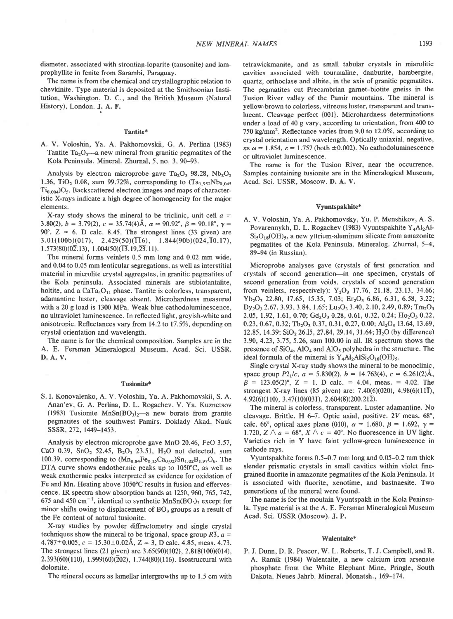diameter, associated with strontian-loparite (tausonite) and lamprophyllite in fenite from Sarambi, Paraguay.

The name is from the chemical and crystallographic relation to chevkinite. Type material is deposited at the Smithsonian Institution, Washington, D. C., and the British Museum (Natural History), London. J. A. F.

#### Tantite\*

A. V. Voloshin, Ya. A. Pakhomovskii, G. A. Perlina (1983) Tantite  $Ta_2O_5$ —a new mineral from granitic pegmatites of the Kola Peninsula. Mineral. Zhurnal, 5, no. 3, 90-93.

Analysis by electron microprobe gave Ta<sub>2</sub>O<sub>5</sub> 98.28, Nb<sub>2</sub>O<sub>5</sub> 1.36, TiO<sub>2</sub> 0.08, sum 99.72%, corresponding to  $(Ta_{1.952}Nb_{0.045})$  $Ti_{0.004}$  $O_{5}$ . Backscattered electron images and maps of characteristic X-rays indicate a high degree of homogeneity for the major elements.

X-ray study shows the mineral to be triclinic, unit cell  $a =$ 3.80(2),  $b = 3.79(2)$ ,  $c = 35.74(4)$ Å,  $\alpha = 90.92^{\circ}$ ,  $\beta = 90.18^{\circ}$ ,  $\gamma =$ 90°,  $Z = 6$ , D calc. 8.45. The strongest lines (33 given) are  $3.01(100b)(017), 2.429(50)(\overline{11}6), 1.844(90b)(024,\overline{1}0.17),$  $1.573(80)(0\overline{2}.13), 1.004(50)(\overline{13}.19,\overline{23}.11).$ 

The mineral forms veinlets 0.5 mm long and 0.02 mm wide, and 0.04 to 0.05 mm lenticular segregations, as well as interstitial material in microlite crystal aggregates, in granitic pegmatites of the Kola peninsula. Associated minerals are stibiotantalite, holtite, and a  $CaTa_4O_{11}$  phase. Tantite is colorless, transparent, adamantine luster, cleavage absent. Microhardness measured with a 20 g load is 1300 MPa. Weak blue cathodoluminescence, no ultraviolet luminescence. In reflected light, greyish-white and anisotropic. Reflectances vary from 14.2 to 17 .5%, depending on crystal orientation and wavelength.

The name is for the chemical composition. Samples are in the A. E. Fersman Mineralogical Museum, Acad. Sci. USSR. D. A. V.

#### Tusionite\*

S. L Konovalenko, A. V. Voloshin, Ya. A. Pakhomovskii, S. A. Anan'ev, G. A. Perlina, D. L. Rogachev, V. Ya. Kuznetsov (1983) Tusionite MnSn $(BO_3)_2$ —a new borate from granite pegmatites of the southwest Pamirs. Doklady Akad. Nauk sssR,272, 1449-1453.

Analysis by electron microprobe gave MnO 20.46, FeO 3.57, CaO 0.39,  $SnO<sub>2</sub> 52.45$ ,  $B<sub>2</sub>O<sub>3</sub> 23.51$ ,  $H<sub>2</sub>O$  not detected, sum 100.39, corresponding to  $(Mn_{0.84}Fe_{0.15}Ca_{0.02})Sn_{1.02}B_{1.97}O_6$ . The DTA curve shows endothermic peaks up to 1050'C, as well as weak exothermic peaks interpreted as evidence for oxidation of Fe and Mn. Heating above 1050'C results in fusion and effervescence. IR spectra show absorption bands at 1250, 960, 765, 742, 675 and 450 cm<sup>-1</sup>, identical to synthetic MnSn(BO<sub>3</sub>)<sub>2</sub> except for minor shifts owing to displacement of  $BO<sub>3</sub>$  groups as a result of the Fe content of natural tusionite.

X-ray studies by powder diffractometry and single crystal techniques show the mineral to be trigonal, space group  $R\overline{3}$ ,  $a =$  $4.787 \pm 0.005$ ,  $c = 15.30 \pm 0.02$ Å,  $Z = 3$ , D calc. 4.85, meas. 4.73. The strongest lines (21 given) are  $3.65(90)(102)$ ,  $2.818(100)(014)$ ,  $2.393(60)(110)$ ,  $1.999(60)(\overline{2}02)$ ,  $1.744(80)(116)$ . Isostructural with dolomite.

The mineral occurs as lamellar intergrowths up to 1.5 cm with

tetrawickmanite, and as small tabular crystals in miarolitic cavities associated with tourmaline, danburite, hambergite, quartz, orthoclase and albite, in the axis of granitic pegmatites. The pegmatites cut Precambrian gamet-biotite gneiss in the Tusion River valley of the Pamir mountains. The mineral is yellow-brown to colorless, vitreous luster, transparent and translucent. Cleavage perfect {001}. Microhardness determinations under a load of 40 g vary, according to orientation, from 40O to 750 kg/mm<sup>2</sup>. Reflectance varies from 9.0 to 12.0%, according to crystal orientation and wavelength. Optically uniaxial, negative, ns  $\omega$  = 1.854,  $\varepsilon$  = 1.757 (both ±0.002). No cathodoluminescence or ultraviolet luminescence.

The name is for the Tusion River. near the occurrence. Samples containing tusionite are in the Mineralogical Museum, Acad. Sci. USSR, Moscow. D. A. V.

#### Vyuntspakhite\*

A. V. Voloshin, Ya. A. Pakhomovsky, Yu. P. Menshikov, A. S. Povarennykh, D. L. Rogachev (1983) Vyuntspakhite Y<sub>4</sub>Al<sub>2</sub>Al- $Si<sub>5</sub>O<sub>18</sub>(OH)<sub>5</sub>$ , a new yttrium-aluminum silicate from amazonite pegmatites of the Kola Peninsula. Mineralog. Zhurnal, 5-4, 89-94 (in Russian).

Microprobe analyses gave (crystals of first generation and crystals of second generation-in one specimen, crystals of second generation from voids, crystals of second generation from veinlets, respectively):  $Y_2O_3$  17.76, 21.18, 23.13, 34.66;  $Yb_2O_3$  22.80, 17.65, 15.35, 7.03;  $Er_2O_3$  6.86, 6.31, 6.58, 3.22;  $Dy_2O_3$  2.67, 3.93, 3.84, 1.65; Lu<sub>2</sub>O<sub>3</sub> 3.40, 2.10, 2.49, 0.89; Tm<sub>2</sub>O<sub>3</sub> 2.05, 1.92, 1.61, 0.70;  $Gd_2O_3$  0.28, 0.61, 0.32, 0.24;  $Ho_2O_3$  0.22, 0.23, 0.67, 0.32; Tb<sub>2</sub>O<sub>3</sub> 0.37, 0.31, 0.27, 0.00; Al<sub>2</sub>O<sub>3</sub> 13.64, 13.69, 12.85, 14.39;  $SiO<sub>2</sub>$  26.15, 27.84, 29.14, 31.64; H<sub>2</sub>O (by difference) 3.90,4.23,3.75,5.26, sum 100.00 in all. IR spectrum shows the presence of  $SiO<sub>4</sub>$ , AlO<sub>4</sub> and AlO<sub>5</sub> polyhedra in the structure. The ideal formula of the mineral is  $Y_4Al_2AlSi_5O_{18}(OH)_5$ .

Single crystal X-ray study shows the mineral to be monoclinic, space group  $P2_1/c$ ,  $a = 5.830(2)$ ,  $b = 14.763(4)$ ,  $c = 6.261(2)$ Å,  $\beta$  = 123.05(2)°, Z = 1. D calc. = 4.04, meas. = 4.02. The strongest X-ray lines (85 given) are: 7.40(6)(020), 4.98(6)(11 $\bar{1}$ ),  $4.92(6)(110), 3.47(10)(03\overline{1}), 2.604(8)(200.21\overline{2}).$ 

The mineral is colorless, transparent. Luster adamantine. No cleavage. Brittle. H 6-7. Optic axial, positive.  $2V$  meas.  $68^\circ$ , calc. 66°, optical axes plane (010),  $\alpha = 1.680$ ,  $\beta = 1.692$ ,  $\gamma =$ 1.720,  $Z \wedge a = 68^\circ$ ,  $X \wedge c = 40^\circ$ . No fluorescence in UV light. Varieties rich in Y have faint yellow-green luminescence in cathode rays.

Vyuntspakhite forms 0.5-0.7 mm long and 0.05-0.2 mm thick slender prismatic crystals in small cavities within violet finegrained fluorite in amazonite pegmatites of the Kola Peninsula. It is associated with fluorite, xenotime, and bastnaesite. Two generations of the mineral were found.

The name is for the moutain Vyuntspakh in the Kola Peninsula. Type material is at the A. E. Fersman Mineralogical Museum Acad. Sci. USSR (Moscow). J. P.

#### Walentaite\*

P. J. Dunn, D. R. Peacor, W. L. Roberts, T. J. Campbell, and R. A. Ramik (1984) Walentaite, a new calcium iron arsenate phosphate from the White Elephant Mine, Pringle, South Dakota. Neues Jahrb. Mineral. Monatsh., 169-174.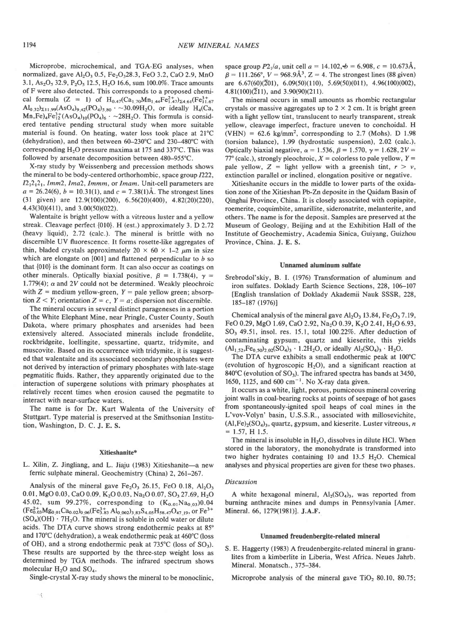Microprobe, microchemical, and TGA-EG analyses, when normalized, gave  $A_2O_3$  0.5, Fe<sub>2</sub>O<sub>2</sub>28.3, FeO 3.2, CaO 2.9, MnO 3.1,  $As_2O_5$  32.9,  $P_2O_5$  12.5,  $H_2O$  16.6, sum 100.0%. Trace amounts ofF were also detected. This corresponds to a proposed chemical formula (Z = 1) of  $H_{0.47}(Ca_{1.70}Mn_{1.44}Fe_{1.47}^{2+})_{\Sigma4.61}(Fe_{11.67}^{3+})$  $Al_{0.32}$ )<sub>2,11</sub> eg(AsO<sub>4</sub>)<sub>9,42</sub>(PO<sub>4</sub>)<sub>5,80</sub>  $\cdot$  ~30.09H<sub>2</sub>O, or ideally H<sub>4</sub>(Ca,  $Mn$ ,Fe)<sub>4</sub>Fe<sup>3+</sup>(AsO<sub>4</sub>)<sub>10</sub>(PO<sub>4</sub>)<sub>6</sub> · ~28H<sub>2</sub>O. This formula is considered tentative pending structural study when more suitable material is found. On heating, water loss took place at 21°C (dehydration), and then between 60-230'C and 230-480"C with corresponding H<sub>2</sub>O pressure maxima at 175 and 337°C. This was followed by arsenate decomposition between 480-955"C.

X-ray study by Weissenberg and precession methods shows the mineral to be body-centered orthorhombic, space group 1222,  $I2_12_12_1$ , Imm2, Ima2, Immm, or Imam. Unit-cell parameters are  $a = 26.24(6)$ ,  $b = 10.31(1)$ , and  $c = 7.38(1)$ Å. The strongest lines (31 given) are 12.9(100)(200), 6.56(20)(400), 4.82(20)(220), 4.43(30)(411), and 3.00(50)(022).

Walentaite is bright yellow with a vitreous luster and a yellow streak. Cleavage perfect {010}. H (est.) approximately 3. D 2.72 (heavy liquid), 2.72 (calc.). The mineral is brittle with no discernible UV fluorescence. It forms rosette-like aggregates of thin, bladed crystals approximately  $20 \times 60 \times 1-2 \mu m$  in size which are elongate on  $[001]$  and flattened perpendicular to  $b$  so that {010} is the dominant form. It can also occur as coatings on other minerals. Optically biaxial positive,  $\beta = 1.738(4)$ ,  $\gamma =$ 1.779(4);  $\alpha$  and 2V could not be determined. Weakly pleochroic with  $Z =$  medium yellow-green,  $Y =$  pale yellow green; absorption  $Z \leq Y$ ; orientation  $Z = c$ ,  $Y = a$ ; dispersion not discernible.

The mineral occurs in several distinct parageneses in a portion of the White Elephant Mine, near Pringle, Custer County, South Dakota, where primary phosphates and arsenides had been extensively altered. Associated minerals include frondelite, rockbridgeite, loellingite, spessartine, quartz, tridymite, and muscovite. Based on its occurrence with tridymite, it is suggested that walentaite and its associated secondary phosphates were not derived by interaction of primary phosphates with late-stage pegmatitic fluids. Rather, they apparently originated due to the interaction of supergene solutions with primary phosphates at relatively recent times when erosion caused the pegmatite to interact with near-surface waters.

The name is for Dr. Kurt Walenta of the University of Stuttgart. Type material is preserved at the Smithsonian Institution, Washington, D. C. J. E. S.

#### Xitieshanite\*

L. Xilin, Z. Jingliang, and L. Jiaju (1983) Xitieshanite-a new ferric sulphate mineral. Geochemistry (China) 2,261-267.

Analysis of the mineral gave  $Fe<sub>2</sub>O<sub>3</sub>$  26.15, FeO 0.18, Al<sub>2</sub>O<sub>3</sub> 0.01, MgO 0.03, CaO 0.09, K<sub>2</sub>O 0.03, Na<sub>2</sub>O 0.07, SO<sub>3</sub> 27.69, H<sub>2</sub>O 45.02, sum 99.27%, corresponding to  $(K_{0.01}Na_{0.03})0.04$  $(Fe_{0.03}^{2+}Mg_{0.01}Ca_{0.02})_{0.06}(Fe_{3.83}^{3+}Al_{0.002})_{3.83}S_{4.05}H_{58.47}O_{47.19}$ , or  $Fe^{3+}$  $(SO<sub>4</sub>)(OH) \cdot 7H<sub>2</sub>O$ . The mineral is soluble in cold water or dilute acids. The DTA curve shows strong endothermic peaks at 85° and 170"C (dehydration), a weak endothermic peak at 460'C (loss of OH), and a strong endothermic peak at  $735^{\circ}$ C (loss of SO<sub>3</sub>). These results are supported by the three-step weight loss as determined by TGA methods. The infrared spectrum shows molecular  $H_2O$  and  $SO_4$ .

Single-crystal X-ray study shows the mineral to be monoclinic,

 $\langle$ 

space group  $P2_1/a$ , unit cell  $a = 14.102$ ,  $b = 6.908$ ,  $c = 10.673\text{\AA}$ ,  $\beta = 111.266^{\circ}$ ,  $V = 968.9\AA^{3}$ ,  $Z = 4$ . The strongest lines (88 given) are  $6.67(60)(\overline{2}01)$ ,  $6.09(50)(110)$ ,  $5.69(50)(011)$ ,  $4.96(100)(002)$ ,  $4.81(100)(\overline{2}11)$ , and  $3.90(90)(211)$ .

The mineral occurs in small amounts as rhombic rectangular crystals or massive aggregates up to  $2 \times 2$  cm. It is bright green with a light yellow tint, translucent to nearly transparent, streak yellow, cleavage imperfect, fracture uneven to conchoidal. H (VHN) =  $62.6 \text{ kg/mm}^2$ , corresponding to 2.7 (Mohs). D 1.98 (torsion balance), 1.99 (hydrostatic suspension), 2.02 (calc.). Optically biaxial negative,  $\alpha = 1.536$ ,  $\beta = 1.570$ ,  $\gamma = 1.628$ ,  $2V =$ 77° (calc.), strongly pleochroic,  $X =$  colorless to pale yellow,  $Y =$ pale yellow,  $Z =$  light yellow with a greenish tint,  $r > v$ , extinction parallel or inclined, elongation positive or negative.

Xitieshanite occurs in the middle to lower parts of the oxidation zone of the Xitieshan Pb-Zn deposite in the Qaidam Basin of Qinghai Province, China. It is closely associated with copiapite, roemerite, coquimbite, amarillite, sideronatrite, melanterite, and others. The name is for the deposit. Samples are preserved at the Museum of Geology, Beijing and at the Exhibition Hall of the Institute of Geochemistry, Academia Sinica, Guiyang, Guizhou Province, China. J. E. S.

#### Unnamed aluminum sulfate

Srebrodol'skiy, B. I. (1976) Transformation of aluminum and iron sulfates. Doklady Earth Science Sections, 228,106-107 lEnglish translation of Doklady Akademii Nauk SSSR, 228, 185-187 (1976)]

Chemical analysis of the mineral gave  $Al_2O_3$  13.84,  $Fe_2O_3$  7.19, FeO 0.29, MgO 1.69, CaO 2.92, Na<sub>2</sub>O 0.39, K<sub>2</sub>O 2.41, H<sub>2</sub>O 6.93, SO<sub>3</sub> 49.51, insol. res. 15.1, total 100.22%. After deduction of contaminating gypsum, quartz and kieserite, this yields  $(Al_{1.52},Fe_{0.50})_{2.02} (SO_4)_3 \cdot 1.2 H_2 O$ , or ideally  $Al_2(SO_4)_3 \cdot H_2 O$ .

The DTA curve exhibits a small endothermic peak at 100"C (evolution of hygroscopic  $H_2O$ ), and a significant reaction at 840 $^{\circ}$ C (evolution of SO<sub>3</sub>). The infrared spectra has bands at 3450, 1650, 1125, and 600  $cm^{-1}$ . No X-ray data given.

It occurs as a white, light, porous, pumiceous mineral covering joint walls in coal-bearing rocks at points of seepage of hot gases from spontaneously-ignited spoil heaps of coal mines in the L'vov-Volyn' basin, U.S.S.R., associated with millosevichite,  $(Al,Fe)<sub>2</sub>(SO<sub>4</sub>)<sub>3</sub>$ , quartz, gypsum, and kieserite. Luster vitreous, n  $= 1.57, H 1.5.$ 

The mineral is insoluble in  $H_2O$ , dissolves in dilute HCl. When stored in the laboratory, the monohydrate is transformed into two higher hydrates containing 10 and 13.5  $H<sub>2</sub>O$ . Chemical analyses and physical properties are given for these two phases.

#### **Discussion**

A white hexagonal mineral,  $Al<sub>2</sub>(SO<sub>4</sub>)<sub>3</sub>$ , was reported from burning anthracite mines and dumps in Pennsylvania [Amer. Mineral. 66, 1279(1981)]. J.A.F.

#### Unnamed freudenbergite-related mineral

S. E. Haggerty (1983) A freudenbergite-related mineral in granulites from a kimberlite in Liberia, West Africa. Neues Jahrb. Mineral. Monatsch., 375-384.

Microprobe analysis of the mineral gave  $TiO<sub>2</sub> 80.10$ , 80.75;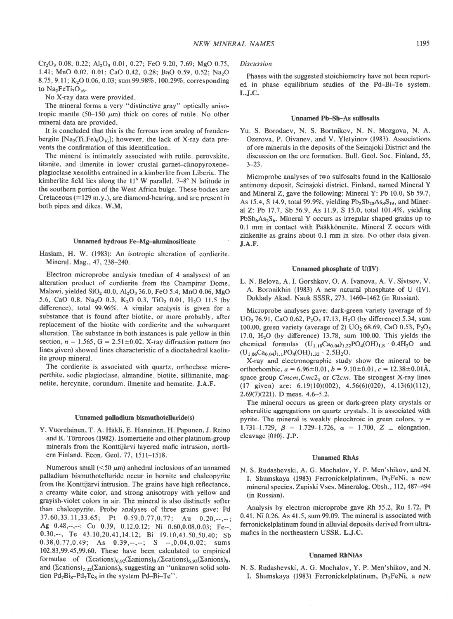$Cr_2O_3$  0.08, 0.22; Al<sub>2</sub>O<sub>3</sub> 0.01, 0.27; FeO 9.20, 7.69; MgO 0.75, l.4l; MnO 0.02, 0.01; CaO 0.42,0.28; BaO 0.59, 0.52; NazO 8.75, 9.11; K<sub>2</sub>O 0.06, 0.03; sum 99.98%, 100.29%, corresponding to  $Na<sub>2</sub>FeTi<sub>7</sub>O<sub>16</sub>$ .

No X-ray data were provided.

The mineral forms a very "distinctive gray" optically anisotropic mantle (50-150  $\mu$ m) thick on cores of rutile. No other mineral data are provided.

It is concluded that this is the ferrous iron analog of freudenbergite  $[Na_2(Ti,Fe)_8O_{16}]$ ; however, the lack of X-ray data prevents the confirmation of this identification.

The mineral is intimately associated with rutile, perovskite, titanite, and ilmenite in lower crustal garnet-clinopyroxeneplagioclase xenoliths entrained in a kimberlite from Liberia. The kimberlite field lies along the  $11^{\circ}$  W parallel,  $7-8^{\circ}$  N latitude in the southern portion of the West Africa bulge. These bodies are Cretaceous ( $\approx$ 129 m.y.), are diamond-bearing, and are present in both pipes and dikes. W.M.

## Unnamed hydrous Fe-Mg-aluminosilicate

Haslam, H. W. (1983): An isotropic alteration of cordierite. Mineral. Mag., 47, 238-240.

Electron microprobe analysis (median of 4 analyses) of an alteration product of cordierite from the Champirar Dome, Malawi, yielded  $SiO<sub>2</sub>$  40.0, Al<sub>2</sub>O<sub>3</sub> 36.0, FeO 5.4, MnO 0.06, MgO 5.6, CaO 0.8, Na<sub>2</sub>O 0.3, K<sub>2</sub>O 0.3, TiO<sub>2</sub> 0.01, H<sub>2</sub>O 11.5 (by difference), total 99.96%. A similar analysis is given for a substance that is found after biotite, or more probably, after replacement of the biotite with cordierite and the subsequent alteration. The substance in both instances is pale yellow in thin section,  $n = 1.565$ ,  $G = 2.51 \pm 0.02$ . X-ray diffraction pattern (no lines given) showed lines characteristic of a dioctahedral kaolinite group mineral.

The cordierite is associated with quartz, orthoclase microperthite, sodic plagioclase, almandine, biotite, sillimanite, magnetite, hercynite, corundum, ilmenite and hematite. J.A.F.

### Unnamed palladium bismuthotelluride(s)

Y. Vuorelainen, T. A. Häkli, E. Hänninen, H. Papunen, J. Reino and R. Törnroos (1982). Isomertieite and other platinum-group minerals from the Konttijärvi layered mafic intrusion, northern Finland. Econ. Geol. 77, l5ll-1518.

Numerous small ( $\leq 50 \mu m$ ) anhedral inclusions of an unnamed palladium bismuthotelluride occur in bornite and chalcopyrite from the Konttijärvi intrusion. The grains have high reflectance, a creamy white color, and strong anisotropy with yellow and grayish-violet colors in air. The mineral is also distinctly softer than chalcopyrite. Probe analyses of three grains gave: Pd  $37.60,33.11,33.65$ ; Pt  $0.59,0.77,0.77$ ; Au  $0.20,...,$ Ag 0.48,--,--; Cu 0.39, 0.12, 0.12; Ni 0.60, 0.08, 0.03; Fe--, 0.30,--, Te 43.10,20.41,14.12; Bi 19.10,43.50,50.40; Sb  $0.38, 0.77, 0.49;$  As  $0.39, -,-;$  S  $-.0.04, 0.02;$  sums 102.83,99.45,99.60. These have been calculated to empirical formulae of  $(\Sigma cations)_{6.92}(\Sigma anions)_{8}$ ,  $(\Sigma cations)_{6.93}(\Sigma anions)_{8}$ , and  $(\Sigma cations)_{7.22}(\Sigma anions)_{8}$  suggesting an "unknown solid solution  $Pd_7Bi_8-Pd_7Te_8$  in the system  $Pd-Bi-Te$ ".

#### Discussion

Phases with the suggested stoichiometry have not been reported in phase equilibrium studies of the Pd-Bi-Te system. L.J.C.

### Unnamed Pb-Sb-As sulfosalts

Yu. S. Borodaev, N. S. Bortnikov, N. N. Mozgova, N. A. Ozerova, P. Oivanev, and V. Yletyinov (1983). Associations of ore minerals in the deposits of the Seinajoki District and the discussion on the ore formation. Bull. Geol. Soc. Finland, 55. 3-23.

Microprobe analyses of two sulfosalts found in the Kalliosalo antimony deposit, Seinajoki district, Finland, named Mineral Y and Mineral Z, gave the following: Mineral Y: Pb 10.0, Sb 59.7, As 15.4, S 14.9, total 99.9%, yielding  $Pb_2Sb_{20}As_8S_{19}$ , and Mineral Z:, Pb 17.7, Sb 56.9, As 11.9, S 15.0, total 101.4%, yielding  $PbSb<sub>6</sub>As<sub>2</sub>S<sub>6</sub>$ . Mineral Y occurs as irregular shaped grains up to 0.1 mm in contact with Pääkkönenite. Mineral Z occurs with zinkenite as grains about 0.1 mm in size. No other data given. J.A.F.

#### Unnamed phosphate of U(IV)

L. N. Belova, A. I. Gorshkov, O. A. Ivanova, A. V. Sivtsov, V. A. Boronikhin (1983) A new natural phosphate of U (IV). Doklady Akad. Nauk SSSR, 273, 1460-1462 (in Russian).

Microprobe analyses gave: dark-green variety (average of 5)  $UO<sub>2</sub>$  76.91, CaO 0.62, P<sub>2</sub>O<sub>5</sub> 17.13, H<sub>2</sub>O (by difference) 5.34, sum 100.00, green variety (average of 2)  $UO_2$  68.69, CaO 0.53, P<sub>2</sub>O<sub>5</sub> 17.0,  $H<sub>2</sub>O$  (by difference) 13.78, sum 100.00. This yields the chemical formulas  $(U_{1.18}Ca_{0.04})_{1.22}PO_4(OH)_{1.8} \cdot 0.4H_2O$  and  $(U_{1.06}Ca<sub>0.04</sub>)<sub>1.1</sub>PO<sub>4</sub>(OH)<sub>1.32</sub> · 2.5H<sub>2</sub>O.$ 

X-ray and electronographic study show the mineral to be orthorhombic,  $a = 6.96 \pm 0.01$ ,  $b = 9.10 \pm 0.01$ ,  $c = 12.38 \pm 0.01$ Å, space group  $Cmcm, Cmc2<sub>1</sub>$  or  $C2cm$ . The strongest X-ray lines  $(17 \text{ given})$  are:  $6.19(10)(002)$ ,  $4.56(6)(020)$ ,  $4.13(6)(112)$ , 2.69(7)(221). Dmeas. 4.6-5.2.

The mineral occurs as green or dark-green platy crystals or spherulitic aggregations on quartz crystals. It is associated with pyrite. The mineral is weakly pleochroic in green colors,  $\gamma$  = 1.731-1.729,  $\beta = 1.729$ -1.726,  $\alpha = 1.700$ ,  $Z \perp$  elongation, cleavage {010}. J.P.

#### Unnamed RhAs

N. S. Rudashevski, A. G. Mochalov, Y. P. Men'shikov, and N. I. Shumskaya (1983) Ferronickelplatinum,  $Pt_2FeNi$ , a new mineral species. Zapiski Vses. Mineralog. Obsh., 112, 487-494 (in Russian).

Analysis by electron microprobe gave Rh 55.2, Ru 1.72, Pt 0.41, Ni 0.26, As 41.5, sum 99.09. The mineral is associated with ferronickelplatinum found in alluvial deposits derived from ultramafics in the northeastern USSR. L.J.C.

## Unnamed RhNiAs

N. S. Rudashevski, A. G. Mochalov, Y. P. Men'shikov, and N. I. Shumskaya (1983) Ferronickelplatinum, Pt<sub>2</sub>FeNi, a new